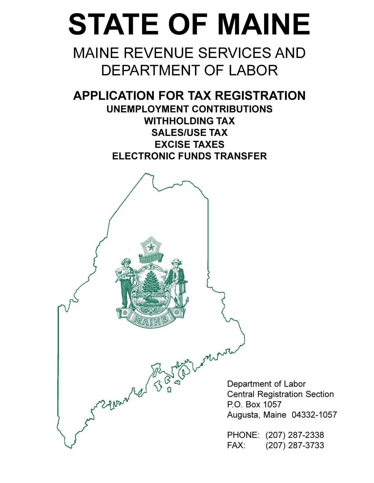# **STATE OF MAINE**

# **MAINE REVENUE SERVICES AND DEPARTMENT OF LABOR**

**APPLICATION FOR TAX REGISTRATION UNEMPLOYMENT CONTRIBUTIONS WITHHOLDING TAX SALES/USE TAX EXCISE TAXES ELECTRONIC FUNDS TRANSFER** 

June Phone Red 33

Department of Labor **Central Registration Section** P.O. Box 1057 Augusta, Maine 04332-1057

PHONE: (207) 287-2338 FAX: (207) 287-3733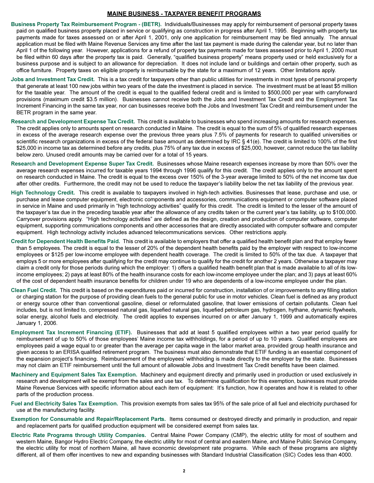#### **MAINE BUSINESS - TAXPAYER BENEFIT PROGRAMS**

- Business Property Tax Reimbursement Program (BETR). Individuals/Businesses may apply for reimbursement of personal property taxes paid on qualified business property placed in service or qualifying as construction in progress after April 1, 1995. Beginning with property tax payments made for taxes assessed on or after April 1, 2001, only one application for reimbursement may be filed annually. The annual application must be filed with Maine Revenue Services any time after the last tax payment is made during the calendar year, but no later than April 1 of the following year. However, applications for a refund of property tax payments made for taxes assessed prior to April 1, 2000 must be filed within 60 days after the property tax is paid. Generally, "qualified business property" means property used or held exclusively for a business purpose and is subject to an allowance for depreciation. It does not include land or buildings and certain other property, such as office furniture. Property taxes on eligible property is reimbursable by the state for a maximum of 12 years. Other limitations apply.
- Jobs and Investment Tax Credit. This is a tax credit for taxpayers other than public utilities for investments in most types of personal property that generate at least 100 new jobs within two years of the date the investment is placed in service. The investment must be at least \$5 million for the taxable year. The amount of the credit is equal to the qualified federal credit and is limited to \$500,000 per year with carryforward provisions (maximum credit \$3.5 million). Businesses cannot receive both the Jobs and Investment Tax Credit and the Employment Tax Increment Financing in the same tax year, nor can businesses receive both the Jobs and Investment Tax Credit and reimbursement under the BETR program in the same year.
- Research and Development Expense Tax Credit. This credit is available to businesses who spend increasing amounts for research expenses. The credit applies only to amounts spent on research conducted in Maine. The credit is equal to the sum of 5% of qualified research expenses in excess of the average research expense over the previous three years plus 7.5% of payments for research to qualified universities or scientific research organizations in excess of the federal base amount as determined by IRC § 41(e). The credit is limited to 100% of the first \$25,000 in income tax as determined before any credits, plus 75% of any tax due in excess of \$25,000, however, cannot reduce the tax liability below zero. Unused credit amounts may be carried over for a total of 15 years.
- Research and Development Expense Super Tax Credit. Businesses whose Maine research expenses increase by more than 50% over the average research expenses incurred for taxable years 1994 through 1996 qualify for this credit. The credit applies only to the amount spent on research conducted in Maine. The credit is equal to the excess over 150% of the 3-year average limited to 50% of the net income tax due after other credits. Furthermore, the credit may not be used to reduce the taxpayer's liability below the net tax liability of the previous year.
- High Technology Credit. This credit is available to taxpayers involved in high-tech activities. Businesses that lease, purchase and use, or purchase and lease computer equipment, electronic components and accessories, communications equipment or computer software placed in service in Maine and used primarily in "high technology activities" qualify for this credit. The credit is limited to the lesser of the amount of the taxpayer's tax due in the preceding taxable year after the allowance of any credits taken or the current year's tax liability, up to \$100,000. Carryover provisions apply. "High technology activities" are defined as the design, creation and production of computer software, computer equipment, supporting communications components and other accessories that are directly associated with computer software and computer equipment. High technology activity includes advanced telecommunications services. Other restrictions apply.
- Credit for Dependent Health Benefits Paid. This credit is available to employers that offer a qualified health benefit plan and that employ fewer than 5 employees. The credit is equal to the lesser of 20% of the dependent health benefits paid by the employer with respect to low-income employees or \$125 per low-income employee with dependent health coverage. The credit is limited to 50% of the tax due. A taxpayer that employs 5 or more employees after qualifying for the credit may continue to qualify for the credit for another 2 years. Otherwise a taxpayer may claim a credit only for those periods during which the employer: 1) offers a qualified health benefit plan that is made available to all of its lowincome employees; 2) pays at least 80% of the health insurance costs for each low-income employee under the plan; and 3) pays at least 60% of the cost of dependent health insurance benefits for children under 19 who are dependents of a low-income employee under the plan.
- Clean Fuel Credit. This credit is based on the expenditures paid or incurred for construction, installation of or improvements to any filling station or charging station for the purpose of providing clean fuels to the general public for use in motor vehicles. Clean fuel is defined as any product or energy source other than conventional gasoline, diesel or reformulated gasoline, that lower emissions of certain pollutants. Clean fuel includes, but is not limited to, compressed natural gas, liquefied natural gas, liquefied petroleum gas, hydrogen, hythane, dynamic flywheels, solar energy, alcohol fuels and electricity. The credit applies to expenses incurred on or after January 1, 1999 and automatically expires January 1, 2006.
- Employment Tax Increment Financing (ETIF). Businesses that add at least 5 qualified employees within a two year period qualify for reimbursement of up to 50% of those employees' Maine income tax withholdings, for a period of up to 10 years. Qualified employees are employees paid a wage equal to or greater than the average per capita wage in the labor market area, provided group health insurance and given access to an ERISA qualified retirement program. The business must also demonstrate that ETIF funding is an essential component of the expansion project's financing. Reimbursement of the employees' withholding is made directly to the employer by the state. Businesses may not claim an ETIF reimbursement until the full amount of allowable Jobs and Investment Tax Credit benefits have been claimed.
- Machinery and Equipment Sales Tax Exemption. Machinery and equipment directly and primarily used in production or used exclusively in research and development will be exempt from the sales and use tax. To determine qualification for this exemption, businesses must provide Maine Revenue Services with specific information about each item of equipment: It's function, how it operates and how it is related to other parts of the production process.
- Fuel and Electricity Sales Tax Exemption. This provision exempts from sales tax 95% of the sale price of all fuel and electricity purchased for use at the manufacturing facility.
- Exemption for Consumable and Repair/Replacement Parts. Items consumed or destroyed directly and primarily in production, and repair and replacement parts for qualified production equipment will be considered exempt from sales tax.
- Electric Rate Programs through Utility Companies. Central Maine Power Company (CMP), the electric utility for most of southern and western Maine, Bangor Hydro Electric Company, the electric utility for most of central and eastern Maine, and Maine Public Service Company, the electric utility for most of northern Maine, all have economic development rate programs. While each of these programs are slightly different, all of them offer incentives to new and expanding businesses with Standard Industrial Classification (SIC) Codes less than 4000.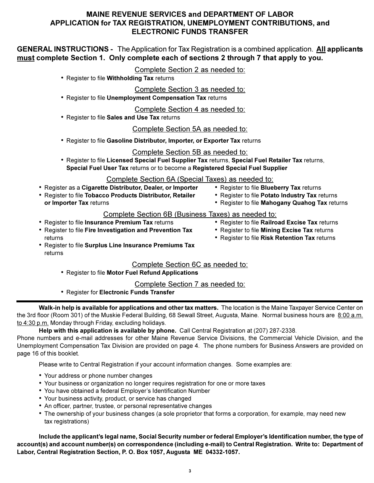# **MAINE REVENUE SERVICES and DEPARTMENT OF LABOR** APPLICATION for TAX REGISTRATION, UNEMPLOYMENT CONTRIBUTIONS, and **ELECTRONIC FUNDS TRANSFER**

**GENERAL INSTRUCTIONS** - The Application for Tax Registration is a combined application. All applicants must complete Section 1. Only complete each of sections 2 through 7 that apply to you.

# Complete Section 2 as needed to:

- Register to file Withholding Tax returns
	- Complete Section 3 as needed to:
- Register to file Unemployment Compensation Tax returns

Complete Section 4 as needed to:

• Register to file Sales and Use Tax returns

# Complete Section 5A as needed to:

• Register to file Gasoline Distributor, Importer, or Exporter Tax returns

Complete Section 5B as needed to:

• Register to file Licensed Special Fuel Supplier Tax returns, Special Fuel Retailer Tax returns, Special Fuel User Tax returns or to become a Registered Special Fuel Supplier

# Complete Section 6A (Special Taxes) as needed to:

- Register as a Cigarette Distributor, Dealer, or Importer
- Register to file Tobacco Products Distributor, Retailer
- or Importer Tax returns
- Register to file Blueberry Tax returns
- Register to file Potato Industry Tax returns

• Register to file Railroad Excise Tax returns • Register to file Mining Excise Tax returns

• Register to file Risk Retention Tax returns

• Register to file Mahogany Quahog Tax returns

# Complete Section 6B (Business Taxes) as needed to:

- Register to file Insurance Premium Tax returns
- Register to file Fire Investigation and Prevention Tax returns
- Register to file Surplus Line Insurance Premiums Tax returns

# Complete Section 6C as needed to:

• Register to file Motor Fuel Refund Applications

Complete Section 7 as needed to:

• Register for Electronic Funds Transfer

Walk-in help is available for applications and other tax matters. The location is the Maine Taxpayer Service Center on the 3rd floor (Room 301) of the Muskie Federal Building, 68 Sewall Street, Augusta, Maine. Normal business hours are 8:00 a.m. to 4:30 p.m. Monday through Friday, excluding holidays.

Help with this application is available by phone. Call Central Registration at (207) 287-2338.

Phone numbers and e-mail addresses for other Maine Revenue Service Divisions, the Commercial Vehicle Division, and the Unemployment Compensation Tax Division are provided on page 4. The phone numbers for Business Answers are provided on page 16 of this booklet.

Please write to Central Registration if your account information changes. Some examples are:

- Your address or phone number changes
- Your business or organization no longer requires registration for one or more taxes
- You have obtained a federal Employer's Identification Number
- Your business activity, product, or service has changed
- An officer, partner, trustee, or personal representative changes
- The ownership of your business changes (a sole proprietor that forms a corporation, for example, may need new tax registrations)

Include the applicant's legal name, Social Security number or federal Employer's Identification number, the type of account(s) and account number(s) on correspondence (including e-mail) to Central Registration. Write to: Department of Labor, Central Registration Section, P. O. Box 1057, Augusta ME 04332-1057.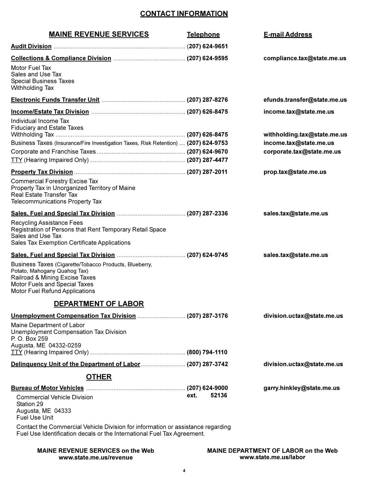# **CONTACT INFORMATION**

| <b>MAINE REVENUE SERVICES</b>                                                                                                                                                                    | <b>Telephone</b> | <b>E-mail Address</b>                                                              |
|--------------------------------------------------------------------------------------------------------------------------------------------------------------------------------------------------|------------------|------------------------------------------------------------------------------------|
|                                                                                                                                                                                                  |                  |                                                                                    |
|                                                                                                                                                                                                  |                  | compliance.tax@state.me.us                                                         |
| Motor Fuel Tax<br>Sales and Use Tax<br><b>Special Business Taxes</b><br>Withholding Tax                                                                                                          |                  |                                                                                    |
|                                                                                                                                                                                                  |                  | efunds.transfer@state.me.us                                                        |
|                                                                                                                                                                                                  |                  | income.tax@state.me.us                                                             |
| Individual Income Tax<br><b>Fiduciary and Estate Taxes</b><br>Business Taxes (Insurance/Fire Investigation Taxes, Risk Retention)  (207) 624-9753                                                |                  | withholding.tax@state.me.us<br>income.tax@state.me.us<br>corporate.tax@state.me.us |
|                                                                                                                                                                                                  |                  | prop.tax@state.me.us                                                               |
| <b>Commercial Forestry Excise Tax</b><br>Property Tax in Unorganized Territory of Maine<br>Real Estate Transfer Tax<br>Telecommunications Property Tax                                           |                  |                                                                                    |
|                                                                                                                                                                                                  |                  | sales.tax@state.me.us                                                              |
| Recycling Assistance Fees<br>Registration of Persons that Rent Temporary Retail Space<br>Sales and Use Tax<br>Sales Tax Exemption Certificate Applications                                       |                  |                                                                                    |
|                                                                                                                                                                                                  |                  | sales.tax@state.me.us                                                              |
| Business Taxes (Cigarette/Tobacco Products, Blueberry,<br>Potato, Mahogany Quahog Tax)<br>Railroad & Mining Excise Taxes<br>Motor Fuels and Special Taxes<br>Motor Fuel Refund Applications      |                  |                                                                                    |
| <b>DEPARTMENT OF LABOR</b>                                                                                                                                                                       |                  |                                                                                    |
| Maine Department of Labor<br>Unemployment Compensation Tax Division<br>P. O. Box 259<br>Augusta, ME 04332-0259                                                                                   |                  | division.uctax@state.me.us                                                         |
|                                                                                                                                                                                                  |                  | division.uctax@state.me.us                                                         |
|                                                                                                                                                                                                  |                  |                                                                                    |
| <b>OTHER</b><br><b>Commercial Vehicle Division</b><br>Station 29<br>Augusta, ME 04333<br><b>Fuel Use Unit</b><br>Contact the Commercial Vehicle Division for information or assistance regarding | 52136<br>ext.    | garry.hinkley@state.me.us                                                          |
| Fuel Use Identification decals or the International Fuel Tax Agreement.                                                                                                                          |                  |                                                                                    |

**MAINE REVENUE SERVICES on the Web** www.state.me.us/revenue

MAINE DEPARTMENT OF LABOR on the Web www.state.me.us/labor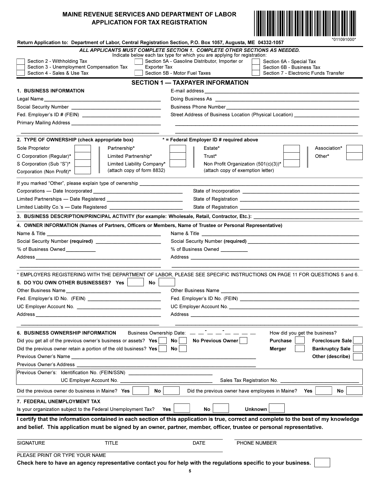# MAINE REVENUE SERVICES AND DEPARTMENT OF LABOR **APPLICATION FOR TAX REGISTRATION**



| Return Application to: Department of Labor, Central Registration Section, P.O. Box 1057, Augusta, ME 04332-1057         | 011091000                                                                                                                                                                                                                                                                                                                                    |
|-------------------------------------------------------------------------------------------------------------------------|----------------------------------------------------------------------------------------------------------------------------------------------------------------------------------------------------------------------------------------------------------------------------------------------------------------------------------------------|
| Section 2 - Withholding Tax<br>Section 3 - Unemployment Compensation Tax<br>Exporter Tax<br>Section 4 - Sales & Use Tax | ALL APPLICANTS MUST COMPLETE SECTION 1. COMPLETE OTHER SECTIONS AS NEEDED.<br>Indicate below each tax type for which you are applying for registration:<br>Section 5A - Gasoline Distributor, Importer or<br>Section 6A - Special Tax<br>Section 6B - Business Tax<br>Section 5B - Motor Fuel Taxes<br>Section 7 - Electronic Funds Transfer |
|                                                                                                                         | <b>SECTION 1 - TAXPAYER INFORMATION</b>                                                                                                                                                                                                                                                                                                      |
| <b>1. BUSINESS INFORMATION</b>                                                                                          |                                                                                                                                                                                                                                                                                                                                              |
|                                                                                                                         | Doing Business As <b>Discussion Control Control Control Control Control Control Control Control Control Control Control Control Control Control Control Control Control Control Control Control Control Control Control Control </b>                                                                                                         |
|                                                                                                                         |                                                                                                                                                                                                                                                                                                                                              |
|                                                                                                                         | Street Address of Business Location (Physical Location) ________________________                                                                                                                                                                                                                                                             |
|                                                                                                                         |                                                                                                                                                                                                                                                                                                                                              |
| 2. TYPE OF OWNERSHIP (check appropriate box)                                                                            | * = Federal Employer ID # required above                                                                                                                                                                                                                                                                                                     |
| Sole Proprietor<br>Partnership*                                                                                         | Estate*<br>Association*                                                                                                                                                                                                                                                                                                                      |
| C Corporation (Regular)*<br>Limited Partnership*                                                                        | Trust*<br>Other*                                                                                                                                                                                                                                                                                                                             |
| S Corporation (Sub "S")*<br>Limited Liability Company*                                                                  | Non Profit Organization (501(c)(3))*                                                                                                                                                                                                                                                                                                         |
| (attach copy of form 8832)<br>Corporation (Non Profit)*                                                                 | (attach copy of exemption letter)                                                                                                                                                                                                                                                                                                            |
| If you marked "Other", please explain type of ownership ________________________                                        |                                                                                                                                                                                                                                                                                                                                              |
|                                                                                                                         |                                                                                                                                                                                                                                                                                                                                              |
|                                                                                                                         |                                                                                                                                                                                                                                                                                                                                              |
|                                                                                                                         |                                                                                                                                                                                                                                                                                                                                              |
|                                                                                                                         | 3. BUSINESS DESCRIPTION/PRINCIPAL ACTIVITY (for example: Wholesale, Retail, Contractor, Etc.): _______________                                                                                                                                                                                                                               |
| 4. OWNER INFORMATION (Names of Partners, Officers or Members, Name of Trustee or Personal Representative)               |                                                                                                                                                                                                                                                                                                                                              |
| Name & Title                                                                                                            | Name & Title                                                                                                                                                                                                                                                                                                                                 |
| Social Security Number (required) ____________________________                                                          |                                                                                                                                                                                                                                                                                                                                              |
| % of Business Owned ___________                                                                                         | % of Business Owned __________                                                                                                                                                                                                                                                                                                               |
|                                                                                                                         |                                                                                                                                                                                                                                                                                                                                              |
|                                                                                                                         |                                                                                                                                                                                                                                                                                                                                              |
|                                                                                                                         | * EMPLOYERS REGISTERING WITH THE DEPARTMENT OF LABOR, PLEASE SEE SPECIFIC INSTRUCTIONS ON PAGE 11 FOR QUESTIONS 5 and 6.                                                                                                                                                                                                                     |
| 5. DO YOU OWN OTHER BUSINESSES? Yes<br>No                                                                               |                                                                                                                                                                                                                                                                                                                                              |
|                                                                                                                         | Other Business Name <b>Example 20</b> No. 2014 12:30 No. 2014                                                                                                                                                                                                                                                                                |
| Fed. Employer's ID No. (FEIN) ______________________________                                                            |                                                                                                                                                                                                                                                                                                                                              |
|                                                                                                                         | UC Employer Account No.                                                                                                                                                                                                                                                                                                                      |
| Address ___                                                                                                             | Address _____                                                                                                                                                                                                                                                                                                                                |
| <b>6. BUSINESS OWNERSHIP INFORMATION</b><br><b>Business Ownership Date:</b>                                             | How did you get the business?                                                                                                                                                                                                                                                                                                                |
| Did you get all of the previous owner's business or assets? Yes                                                         | No Previous Owner<br>Purchase<br>No<br><b>Foreclosure Sale</b>                                                                                                                                                                                                                                                                               |
| Did the previous owner retain a portion of the old business? Yes                                                        | No<br><b>Merger</b><br><b>Bankruptcy Sale</b>                                                                                                                                                                                                                                                                                                |
|                                                                                                                         | Other (describe)                                                                                                                                                                                                                                                                                                                             |
| Previous Owner's Address _____                                                                                          |                                                                                                                                                                                                                                                                                                                                              |
| Previous Owner's: Identification No. (FEIN/SSN)                                                                         |                                                                                                                                                                                                                                                                                                                                              |
| UC Employer Account No.                                                                                                 | Sales Tax Registration No.                                                                                                                                                                                                                                                                                                                   |
| Did the previous owner do business in Maine? Yes<br>No                                                                  | Did the previous owner have employees in Maine?<br>No<br>Yes                                                                                                                                                                                                                                                                                 |
| 7. FEDERAL UNEMPLOYMENT TAX                                                                                             |                                                                                                                                                                                                                                                                                                                                              |
| Is your organization subject to the Federal Unemployment Tax?<br>Yes                                                    | <b>Unknown</b><br>No                                                                                                                                                                                                                                                                                                                         |
|                                                                                                                         | I certify that the information contained in each section of this application is true, correct and complete to the best of my knowledge                                                                                                                                                                                                       |
|                                                                                                                         | and belief. This application must be signed by an owner, partner, member, officer, trustee or personal representative.                                                                                                                                                                                                                       |
| <b>TITLE</b><br><b>SIGNATURE</b>                                                                                        | DATE<br>PHONE NUMBER                                                                                                                                                                                                                                                                                                                         |
| PLEASE PRINT OR TYPE YOUR NAME                                                                                          |                                                                                                                                                                                                                                                                                                                                              |

Check here to have an agency representative contact you for help with the regulations specific to your business.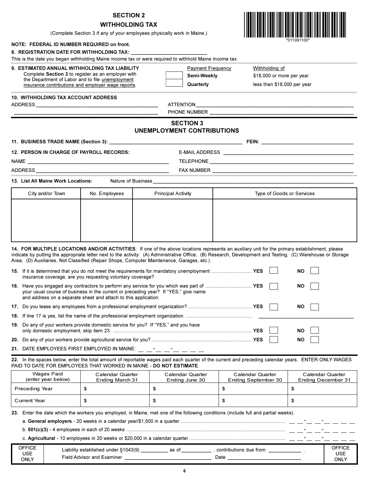# **SECTION 2**

# **WITHHOLDING TAX**



|                                                                                                        |                                             | (Complete Section 3 if any of your employees physically work in Maine.)                                                                                                                                                                      |            |                                                                                                                                                             |
|--------------------------------------------------------------------------------------------------------|---------------------------------------------|----------------------------------------------------------------------------------------------------------------------------------------------------------------------------------------------------------------------------------------------|------------|-------------------------------------------------------------------------------------------------------------------------------------------------------------|
| NOTE: FEDERAL ID NUMBER REQUIRED on front.                                                             |                                             |                                                                                                                                                                                                                                              | 111091100* |                                                                                                                                                             |
| 8. REGISTRATION DATE FOR WITHHOLDING TAX:                                                              |                                             |                                                                                                                                                                                                                                              |            |                                                                                                                                                             |
|                                                                                                        |                                             | This is the date you began withholding Maine income tax or were required to withhold Maine income tax.                                                                                                                                       |            |                                                                                                                                                             |
| 9. ESTIMATED ANNUAL WITHHOLDING TAX LIABILITY                                                          |                                             | <b>Payment Frequency</b>                                                                                                                                                                                                                     |            | Withholding of                                                                                                                                              |
| Complete Section 3 to register as an employer with<br>the Department of Labor and to file unemployment |                                             | Semi-Weekly                                                                                                                                                                                                                                  |            | \$18,000 or more per year                                                                                                                                   |
| insurance contributions and employer wage reports.                                                     |                                             | Quarterly                                                                                                                                                                                                                                    |            | less than \$18,000 per year                                                                                                                                 |
| <b>10. WITHHOLDING TAX ACCOUNT ADDRESS</b>                                                             |                                             |                                                                                                                                                                                                                                              |            |                                                                                                                                                             |
|                                                                                                        |                                             |                                                                                                                                                                                                                                              |            |                                                                                                                                                             |
|                                                                                                        |                                             |                                                                                                                                                                                                                                              |            |                                                                                                                                                             |
|                                                                                                        |                                             | <b>SECTION 3</b><br>UNEMPLOYMENT CONTRIBUTIONS                                                                                                                                                                                               |            |                                                                                                                                                             |
|                                                                                                        |                                             |                                                                                                                                                                                                                                              |            |                                                                                                                                                             |
| 12. PERSON IN CHARGE OF PAYROLL RECORDS:                                                               |                                             |                                                                                                                                                                                                                                              |            |                                                                                                                                                             |
|                                                                                                        |                                             |                                                                                                                                                                                                                                              |            |                                                                                                                                                             |
|                                                                                                        |                                             |                                                                                                                                                                                                                                              |            |                                                                                                                                                             |
| 13. List All Maine Work Locations:                                                                     |                                             |                                                                                                                                                                                                                                              |            |                                                                                                                                                             |
|                                                                                                        |                                             |                                                                                                                                                                                                                                              |            |                                                                                                                                                             |
| City and/or Town                                                                                       | No. Employees                               | <b>Principal Activity</b><br>Type of Goods or Services                                                                                                                                                                                       |            |                                                                                                                                                             |
|                                                                                                        |                                             |                                                                                                                                                                                                                                              |            |                                                                                                                                                             |
|                                                                                                        |                                             |                                                                                                                                                                                                                                              |            |                                                                                                                                                             |
|                                                                                                        |                                             |                                                                                                                                                                                                                                              |            |                                                                                                                                                             |
|                                                                                                        |                                             |                                                                                                                                                                                                                                              |            |                                                                                                                                                             |
|                                                                                                        |                                             |                                                                                                                                                                                                                                              |            |                                                                                                                                                             |
|                                                                                                        |                                             | 14. FOR MULTIPLE LOCATIONS AND/OR ACTIVITIES: If one of the above locations represents an auxiliary unit for the primary establishment, please<br>Area; (D) Auxiliaries, Not Classified (Repair Shops, Computer Maintenance, Garages, etc.). |            | indicate by putting the appropriate letter next to the activity: (A) Administrative Office; (B) Research, Development and Testing; (C) Warehouse or Storage |
| insurance coverage, are you requesting voluntary coverage?                                             |                                             | 15. If it is determined that you do not meet the requirements for mandatory unemployment  YES                                                                                                                                                |            | NΟ                                                                                                                                                          |
| and address on a separate sheet and attach to this application.                                        |                                             | 16. Have you engaged any contractors to perform any service for you which was part of  YES<br>your usual course of business in the current or preceding year? If "YES," give name                                                            |            | ΝO                                                                                                                                                          |
|                                                                                                        |                                             |                                                                                                                                                                                                                                              | ΝO         |                                                                                                                                                             |
|                                                                                                        |                                             |                                                                                                                                                                                                                                              |            |                                                                                                                                                             |
| 19. Do any of your workers provide domestic service for you? If "YES," and you have                    |                                             |                                                                                                                                                                                                                                              |            | ΝO                                                                                                                                                          |
| 20.                                                                                                    |                                             |                                                                                                                                                                                                                                              | ΝO         |                                                                                                                                                             |
|                                                                                                        | 21. DATE EMPLOYEES FIRST EMPLOYED IN MAINE: |                                                                                                                                                                                                                                              |            |                                                                                                                                                             |
|                                                                                                        |                                             |                                                                                                                                                                                                                                              |            | 22. In the spaces below, enter the total amount of reportable wages paid each quarter of the current and preceding calendar years. ENTER ONLY WAGES         |
| PAID TO DATE FOR EMPLOYEES THAT WORKED IN MAINE - DO NOT ESTIMATE.                                     |                                             |                                                                                                                                                                                                                                              |            |                                                                                                                                                             |

| Wages Paid<br>(enter year below) | Calendar Quarter<br>Ending March 31 | Calendar Quarter<br>Ending June 30 | Calendar Quarter<br>Ending September 30 | Calendar Quarter<br>Ending December 31 |
|----------------------------------|-------------------------------------|------------------------------------|-----------------------------------------|----------------------------------------|
| Preceding Year                   |                                     |                                    |                                         |                                        |
| <b>Current Year</b>              | ъ                                   |                                    |                                         |                                        |

23. Enter the date which the workers you employed, in Maine, met one of the following conditions (include full and partial weeks).

|                       | a. General employers - 20 weeks in a calendar year/\$1,500 in a quarter $\ldots$ $\ldots$ $\ldots$ $\ldots$ $\ldots$ $\ldots$ $\ldots$ $\ldots$ $\ldots$ $\ldots$ $\ldots$ $\ldots$ $\ldots$ $\ldots$ $\ldots$ $\ldots$ $\ldots$ $\ldots$ $\ldots$ $\ldots$ |                                     |
|-----------------------|-------------------------------------------------------------------------------------------------------------------------------------------------------------------------------------------------------------------------------------------------------------|-------------------------------------|
|                       |                                                                                                                                                                                                                                                             |                                     |
|                       |                                                                                                                                                                                                                                                             |                                     |
| OFFICF<br>USE<br>ONLY | Liability established under §1043(9) as of<br>contributions due from<br>Field Advisor and Examiner<br>Date                                                                                                                                                  | OFFICF<br><b>USE</b><br><b>ONLY</b> |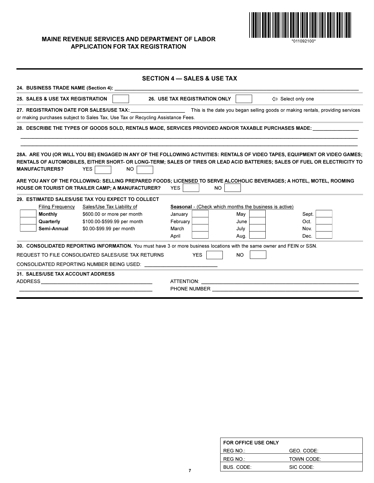

MAINE REVENUE SERVICES AND DEPARTMENT OF LABOR **APPLICATION FOR TAX REGISTRATION** 

|                |                                          |                                                                                 | <b>SECTION 4 - SALES &amp; USE TAX</b>                                                                                                                                                                                                                                                                                                                                                                       |  |
|----------------|------------------------------------------|---------------------------------------------------------------------------------|--------------------------------------------------------------------------------------------------------------------------------------------------------------------------------------------------------------------------------------------------------------------------------------------------------------------------------------------------------------------------------------------------------------|--|
|                |                                          |                                                                                 |                                                                                                                                                                                                                                                                                                                                                                                                              |  |
|                | 25. SALES & USE TAX REGISTRATION         |                                                                                 | <b>26. USE TAX REGISTRATION ONLY</b><br>⇔ Select only one                                                                                                                                                                                                                                                                                                                                                    |  |
|                |                                          | or making purchases subject to Sales Tax, Use Tax or Recycling Assistance Fees. | 27. REGISTRATION DATE FOR SALES/USE TAX: This is the date you began selling goods or making rentals, providing services                                                                                                                                                                                                                                                                                      |  |
|                |                                          |                                                                                 | 28. DESCRIBE THE TYPES OF GOODS SOLD, RENTALS MADE, SERVICES PROVIDED AND/OR TAXABLE PURCHASES MADE: University of the strategy of the strategy of the strategy of the strategy of the strategy of the strategy of the strateg                                                                                                                                                                               |  |
|                | <b>MANUFACTURERS?</b>                    | <b>YES</b><br>NO.<br>HOUSE OR TOURIST OR TRAILER CAMP; A MANUFACTURER?          | 28A. ARE YOU (OR WILL YOU BE) ENGAGED IN ANY OF THE FOLLOWING ACTIVITIES: RENTALS OF VIDEO TAPES, EQUIPMENT OR VIDEO GAMES;<br>RENTALS OF AUTOMOBILES, EITHER SHORT- OR LONG-TERM; SALES OF TIRES OR LEAD ACID BATTERIES; SALES OF FUEL OR ELECTRICITY TO<br>ARE YOU ANY OF THE FOLLOWING: SELLING PREPARED FOODS; LICENSED TO SERVE ALCOHOLIC BEVERAGES; A HOTEL, MOTEL, ROOMING<br><b>YES</b><br><b>NO</b> |  |
|                |                                          | 29. ESTIMATED SALES/USE TAX YOU EXPECT TO COLLECT                               |                                                                                                                                                                                                                                                                                                                                                                                                              |  |
|                |                                          | Filing Frequency Sales/Use Tax Liability of                                     | Seasonal - (Check which months the business is active)                                                                                                                                                                                                                                                                                                                                                       |  |
|                | <b>Monthly</b>                           | \$600.00 or more per month                                                      | Sept.<br>January<br>May                                                                                                                                                                                                                                                                                                                                                                                      |  |
|                | Quarterly                                | \$100.00-\$599.99 per month                                                     | February<br>Oct.<br>June                                                                                                                                                                                                                                                                                                                                                                                     |  |
|                | Semi-Annual                              | \$0.00-\$99.99 per month                                                        | March<br>July<br>Nov.                                                                                                                                                                                                                                                                                                                                                                                        |  |
|                |                                          |                                                                                 | April<br>Aug.<br>Dec.                                                                                                                                                                                                                                                                                                                                                                                        |  |
|                |                                          |                                                                                 | 30. CONSOLIDATED REPORTING INFORMATION. You must have 3 or more business locations with the same owner and FEIN or SSN.                                                                                                                                                                                                                                                                                      |  |
|                |                                          | REQUEST TO FILE CONSOLIDATED SALES/USE TAX RETURNS                              | <b>YES</b><br><b>NO</b>                                                                                                                                                                                                                                                                                                                                                                                      |  |
|                |                                          | CONSOLIDATED REPORTING NUMBER BEING USED:                                       |                                                                                                                                                                                                                                                                                                                                                                                                              |  |
|                | <b>31. SALES/USE TAX ACCOUNT ADDRESS</b> |                                                                                 |                                                                                                                                                                                                                                                                                                                                                                                                              |  |
| <b>ADDRESS</b> |                                          | <u> 1989 - Johann Stein, mars an deutscher Stein († 1989)</u>                   |                                                                                                                                                                                                                                                                                                                                                                                                              |  |
|                |                                          |                                                                                 | PHONE NUMBER                                                                                                                                                                                                                                                                                                                                                                                                 |  |
|                |                                          |                                                                                 |                                                                                                                                                                                                                                                                                                                                                                                                              |  |

| FOR OFFICE USE ONLY |                   |
|---------------------|-------------------|
| REG NO.:            | GEO. CODE:        |
| REG NO.:            | <b>TOWN CODE:</b> |
| BUS, CODE:          | SIC CODE:         |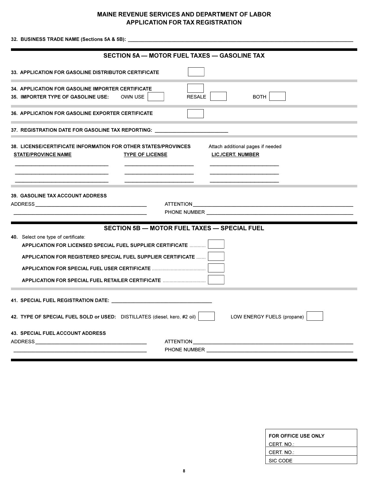# **MAINE REVENUE SERVICES AND DEPARTMENT OF LABOR APPLICATION FOR TAX REGISTRATION**

SECTION 5A - MOTOR FUEL TAXES - GASOLINE TAX 33. APPLICATION FOR GASOLINE DISTRIBUTOR CERTIFICATE 34. APPLICATION FOR GASOLINE IMPORTER CERTIFICATE 35. IMPORTER TYPE OF GASOLINE USE: OWN USE **RESALE BOTH** 36. APPLICATION FOR GASOLINE EXPORTER CERTIFICATE 37. REGISTRATION DATE FOR GASOLINE TAX REPORTING: 38. LICENSE/CERTIFICATE INFORMATION FOR OTHER STATES/PROVINCES Attach additional pages if needed **STATE/PROVINCE NAME TYPE OF LICENSE LIC./CERT. NUMBER** 39. GASOLINE TAX ACCOUNT ADDRESS **ADDRESS ATTENTION** PHONE NUMBER THE STATE OF THE STATE OF THE STATE OF THE STATE OF THE STATE OF THE STATE OF THE STATE OF THE STATE OF THE STATE OF THE STATE OF THE STATE OF THE STATE OF THE STATE OF THE STATE OF THE STATE OF THE STATE OF T **SECTION 5B - MOTOR FUEL TAXES - SPECIAL FUEL** 40. Select one type of certificate: APPLICATION FOR LICENSED SPECIAL FUEL SUPPLIER CERTIFICATE ............ APPLICATION FOR REGISTERED SPECIAL FUEL SUPPLIER CERTIFICATE ....... | LOW ENERGY FUELS (propane) 42. TYPE OF SPECIAL FUEL SOLD or USED: DISTILLATES (diesel, kero, #2 oil) 43. SPECIAL FUEL ACCOUNT ADDRESS ADDRESS ATTENTION PHONE NUMBER

| FOR OFFICE USE ONLY |  |
|---------------------|--|
| CERT. NO.:          |  |
| CERT. NO.:          |  |
| SIC CODE            |  |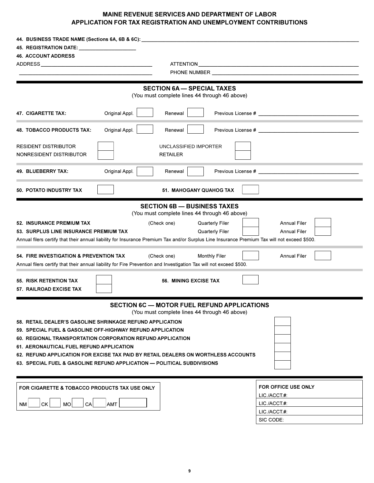# MAINE REVENUE SERVICES AND DEPARTMENT OF LABOR APPLICATION FOR TAX REGISTRATION AND UNEMPLOYMENT CONTRIBUTIONS

| 44. BUSINESS TRADE NAME (Sections 6A, 6B & 6C): _                                  |                                                                                                                                              |  |  |
|------------------------------------------------------------------------------------|----------------------------------------------------------------------------------------------------------------------------------------------|--|--|
| 45. REGISTRATION DATE: ______________________                                      |                                                                                                                                              |  |  |
| <b>46. ACCOUNT ADDRESS</b>                                                         |                                                                                                                                              |  |  |
|                                                                                    |                                                                                                                                              |  |  |
|                                                                                    | <b>PHONE NUMBER EXAMPLE AND RESIDENCE</b>                                                                                                    |  |  |
|                                                                                    | <b>SECTION 6A - SPECIAL TAXES</b>                                                                                                            |  |  |
|                                                                                    | (You must complete lines 44 through 46 above)                                                                                                |  |  |
| Original Appl.<br>47. CIGARETTE TAX:                                               | Renewal                                                                                                                                      |  |  |
| Original Appl.<br><b>48. TOBACCO PRODUCTS TAX:</b>                                 | Renewal                                                                                                                                      |  |  |
| <b>RESIDENT DISTRIBUTOR</b><br>NONRESIDENT DISTRIBUTOR                             | UNCLASSIFIED IMPORTER<br><b>RETAILER</b>                                                                                                     |  |  |
| Original Appl.<br>49. BLUEBERRY TAX:                                               | Previous License # 2009 and 2009 and 2009 and 2009 and 2009 and 2009 and 2009 and 2009 and 2009 and 2009 and 20<br>Renewal                   |  |  |
| <b>50. POTATO INDUSTRY TAX</b>                                                     | 51. MAHOGANY QUAHOG TAX                                                                                                                      |  |  |
|                                                                                    | <b>SECTION 6B - BUSINESS TAXES</b>                                                                                                           |  |  |
|                                                                                    | (You must complete lines 44 through 46 above)                                                                                                |  |  |
| <b>52. INSURANCE PREMIUM TAX</b>                                                   | <b>Quarterly Filer</b><br><b>Annual Filer</b><br>(Check one)                                                                                 |  |  |
| 53. SURPLUS LINE INSURANCE PREMIUM TAX                                             | Quarterly Filer<br><b>Annual Filer</b>                                                                                                       |  |  |
|                                                                                    | Annual filers certify that their annual liability for Insurance Premium Tax and/or Surplus Line Insurance Premium Tax will not exceed \$500. |  |  |
| 54. FIRE INVESTIGATION & PREVENTION TAX                                            | <b>Annual Filer</b><br>(Check one)<br><b>Monthly Filer</b>                                                                                   |  |  |
|                                                                                    | Annual filers certify that their annual liability for Fire Prevention and Investigation Tax will not exceed \$500.                           |  |  |
|                                                                                    |                                                                                                                                              |  |  |
| 55. RISK RETENTION TAX<br><b>57. RAILROAD EXCISE TAX</b>                           | <b>56. MINING EXCISE TAX</b>                                                                                                                 |  |  |
|                                                                                    | <b>SECTION 6C - MOTOR FUEL REFUND APPLICATIONS</b><br>(You must complete lines 44 through 46 above)                                          |  |  |
| 58. RETAIL DEALER'S GASOLINE SHRINKAGE REFUND APPLICATION                          |                                                                                                                                              |  |  |
| 59. SPECIAL FUEL & GASOLINE OFF-HIGHWAY REFUND APPLICATION                         |                                                                                                                                              |  |  |
| 60. REGIONAL TRANSPORTATION CORPORATION REFUND APPLICATION                         |                                                                                                                                              |  |  |
| 61. AERONAUTICAL FUEL REFUND APPLICATION                                           |                                                                                                                                              |  |  |
| 62. REFUND APPLICATION FOR EXCISE TAX PAID BY RETAIL DEALERS ON WORTHLESS ACCOUNTS |                                                                                                                                              |  |  |
| 63. SPECIAL FUEL & GASOLINE REFUND APPLICATION — POLITICAL SUBDIVISIONS            |                                                                                                                                              |  |  |
| FOR CIGARETTE & TOBACCO PRODUCTS TAX USE ONLY                                      | <b>FOR OFFICE USE ONLY</b>                                                                                                                   |  |  |
|                                                                                    | LIC./ACCT#:                                                                                                                                  |  |  |
| LIC./ACCT#:<br>СK<br>AMT<br>MO<br>CA<br>NM                                         |                                                                                                                                              |  |  |
|                                                                                    | LIC./ACCT#:                                                                                                                                  |  |  |
|                                                                                    | SIC CODE:                                                                                                                                    |  |  |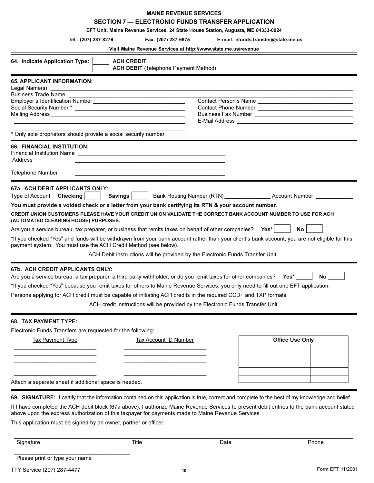| <b>MAINE REVENUE SERVICES</b>                                                                                        |                                                                                        |                                             |                                                                                                                                                                                                                                |     |
|----------------------------------------------------------------------------------------------------------------------|----------------------------------------------------------------------------------------|---------------------------------------------|--------------------------------------------------------------------------------------------------------------------------------------------------------------------------------------------------------------------------------|-----|
|                                                                                                                      |                                                                                        |                                             | SECTION 7 - ELECTRONIC FUNDS TRANSFER APPLICATION                                                                                                                                                                              |     |
|                                                                                                                      |                                                                                        |                                             | EFT Unit, Maine Revenue Services, 24 State House Station, Augusta, ME 04333-0024                                                                                                                                               |     |
| Tel.: (207) 287-8276                                                                                                 |                                                                                        | Fax: (207) 287-6975                         | E-mail: efunds.transfer@state.me.us                                                                                                                                                                                            |     |
|                                                                                                                      |                                                                                        |                                             | Visit Maine Revenue Services at http://www.state.me.us/revenue                                                                                                                                                                 |     |
| 64. Indicate Application Type:                                                                                       | <b>ACH CREDIT</b>                                                                      |                                             |                                                                                                                                                                                                                                |     |
|                                                                                                                      |                                                                                        | <b>ACH DEBIT</b> (Telephone Payment Method) |                                                                                                                                                                                                                                |     |
| <b>65. APPLICANT INFORMATION:</b>                                                                                    |                                                                                        |                                             |                                                                                                                                                                                                                                |     |
| Legal Name(s)                                                                                                        | <u> 1980 - Jan Barat, martin da basar da basar da basar da basar da basar da basar</u> |                                             |                                                                                                                                                                                                                                |     |
|                                                                                                                      |                                                                                        |                                             | Contact Person's Name                                                                                                                                                                                                          |     |
|                                                                                                                      |                                                                                        |                                             |                                                                                                                                                                                                                                |     |
|                                                                                                                      |                                                                                        |                                             |                                                                                                                                                                                                                                |     |
|                                                                                                                      |                                                                                        |                                             | E-Mail Address [1986] [1986] [1986] [1986] [1986] [1986] [1986] [1986] [1986] [1986] [1986] [1986] [1986] [1986] [1986] [1986] [1986] [1986] [1986] [1986] [1986] [1986] [1986] [1986] [1986] [1986] [1986] [1986] [1986] [198 |     |
| * Only sole proprietors should provide a social security number                                                      |                                                                                        |                                             |                                                                                                                                                                                                                                |     |
| <b>66. FINANCIAL INSTITUTION:</b>                                                                                    |                                                                                        |                                             |                                                                                                                                                                                                                                |     |
|                                                                                                                      |                                                                                        |                                             |                                                                                                                                                                                                                                |     |
| Address                                                                                                              |                                                                                        |                                             |                                                                                                                                                                                                                                |     |
| Telephone Number                                                                                                     |                                                                                        |                                             |                                                                                                                                                                                                                                |     |
|                                                                                                                      |                                                                                        |                                             |                                                                                                                                                                                                                                |     |
| 67a. ACH DEBIT APPLICANTS ONLY:                                                                                      |                                                                                        |                                             |                                                                                                                                                                                                                                |     |
| Type of Account: Checking                                                                                            | Savings <b>A</b>                                                                       |                                             |                                                                                                                                                                                                                                |     |
| You must provide a voided check or a letter from your bank certifying its RTN & your account number.                 |                                                                                        |                                             |                                                                                                                                                                                                                                |     |
|                                                                                                                      |                                                                                        |                                             | CREDIT UNION CUSTOMERS PLEASE HAVE YOUR CREDIT UNION VALIDATE THE CORRECT BANK ACCOUNT NUMBER TO USE FOR ACH                                                                                                                   |     |
| (AUTOMATED CLEARING HOUSE) PURPOSES.                                                                                 |                                                                                        |                                             |                                                                                                                                                                                                                                |     |
| Are you a service bureau, tax preparer, or business that remits taxes on behalf of other companies? Yes <sup>*</sup> |                                                                                        |                                             | No.                                                                                                                                                                                                                            |     |
| payment system. You must use the ACH Credit Method (see below).                                                      |                                                                                        |                                             | *If you checked "Yes" and funds will be withdrawn from your bank account rather than your client's bank account, you are not eligible for this                                                                                 |     |
|                                                                                                                      |                                                                                        |                                             | ACH Debit instructions will be provided by the Electronic Funds Transfer Unit.                                                                                                                                                 |     |
|                                                                                                                      |                                                                                        |                                             |                                                                                                                                                                                                                                |     |
| 67b. ACH CREDIT APPLICANTS ONLY:                                                                                     |                                                                                        |                                             |                                                                                                                                                                                                                                |     |
| Are you a service bureau, a tax preparer, a third party withholder, or do you remit taxes for other companies?       |                                                                                        |                                             | Yes*                                                                                                                                                                                                                           | No. |
|                                                                                                                      |                                                                                        |                                             | *If you checked "Yes" because you remit taxes for others to Maine Revenue Services, you only need to fill out one EFT application.                                                                                             |     |
|                                                                                                                      |                                                                                        |                                             | Persons applying for ACH credit must be capable of initiating ACH credits in the required CCD+ and TXP formats.                                                                                                                |     |
|                                                                                                                      |                                                                                        |                                             | ACH credit instructions will be provided by the Electronic Funds Transfer Unit.                                                                                                                                                |     |
|                                                                                                                      |                                                                                        |                                             |                                                                                                                                                                                                                                |     |
| <b>68. TAX PAYMENT TYPE:</b>                                                                                         |                                                                                        |                                             |                                                                                                                                                                                                                                |     |
| Electronic Funds Transfers are requested for the following:                                                          |                                                                                        |                                             |                                                                                                                                                                                                                                |     |
| <b>Tax Payment Type</b>                                                                                              |                                                                                        | <b>Tax Account ID Number</b>                | <b>Office Use Only</b>                                                                                                                                                                                                         |     |
|                                                                                                                      |                                                                                        |                                             |                                                                                                                                                                                                                                |     |
|                                                                                                                      |                                                                                        |                                             |                                                                                                                                                                                                                                |     |
|                                                                                                                      |                                                                                        |                                             |                                                                                                                                                                                                                                |     |
|                                                                                                                      |                                                                                        |                                             |                                                                                                                                                                                                                                |     |
| Attach a separate sheet if additional space is needed.                                                               |                                                                                        |                                             |                                                                                                                                                                                                                                |     |
|                                                                                                                      |                                                                                        |                                             | 69. SIGNATURE: I certify that the information contained on this application is true, correct and complete to the best of my knowledge and belief.                                                                              |     |

If I have completed the ACH debit block (67a above), I authorize Maine Revenue Services to present debit entries to the bank account stated above upon the express authorization of this taxpayer for payments made to Maine Revenue Services.

This application must be signed by an owner, partner or officer.

Signature

Date

Please print or type your name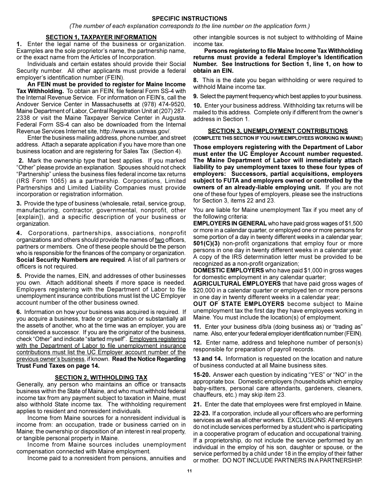#### **SPECIFIC INSTRUCTIONS**

(The number of each explanation corresponds to the line number on the application form.)

#### **SECTION 1, TAXPAYER INFORMATION**

1. Enter the legal name of the business or organization. Examples are the sole proprietor's name, the partnership name, or the exact name from the Articles of Incorporation.

Individuals and certain estates should provide their Social Security number. All other applicants must provide a federal employer's identification number (FEIN).

An FEIN must be provided to register for Maine Income Tax Withholding. To obtain an FEIN, file federal Form SS-4 with the Internal Revenue Service. For information on FEIN's, call the Andover Service Center in Massachusetts at (978) 474-9520, Maine Department of Labor, Central Registration Unit at (207) 287-2338 or visit the Maine Taxpayer Service Center in Augusta. Federal Form SS-4 can also be downloaded from the Internal Revenue Services Internet site, http://www.irs.ustreas.gov/.

Enter the business mailing address, phone number, and street address. Attach a separate application if you have more than one business location and are registering for Sales Tax (Section 4).

2. Mark the ownership type that best applies. If you marked "Other" please provide an explanation. Spouses should not check "Partnership" unless the business files federal income tax returns (IRS Form 1065) as a partnership. Corporations, Limited Partnerships and Limited Liability Companies must provide incorporation or registration information.

3. Provide the type of business (wholesale, retail, service group, manufacturing, contractor, governmental, nonprofit, other (explain), and a specific description of your business or organization.

4. Corporations, partnerships, associations, nonprofit organizations and others should provide the names of two officers, partners or members. One of these people should be the person who is responsible for the finances of the company or organization. Social Security Numbers are required. A list of all partners or officers is not required.

5. Provide the names, EIN, and addresses of other businesses you own. Attach additional sheets if more space is needed. Employers registering with the Department of Labor to file unemployment insurance contributions must list the UC Employer account number of the other business owned.

6. Information on how your business was acquired is required. If you acquire a business, trade or organization or substantially all the assets of another, who at the time was an employer, you are considered a successor. If you are the originator of the business, check "Other" and indicate "started myself". Employers registering with the Department of Labor to file unemployment insurance contributions must list the UC Employer account number of the previous owner's business, if known. Read the Notice Regarding Trust Fund Taxes on page 14.

#### **SECTION 2, WITHHOLDING TAX**

Generally, any person who maintains an office or transacts business within the State of Maine, and who must withhold federal income tax from any payment subject to taxation in Maine, must also withhold State income tax. The withholding requirement applies to resident and nonresident individuals.

Income from Maine sources for a nonresident individual is income from: an occupation, trade or business carried on in Maine; the ownership or disposition of an interest in real property. or tangible personal property in Maine.

Income from Maine sources includes unemployment compensation connected with Maine employment.

Income paid to a nonresident from pensions, annuities and

other intangible sources is not subject to withholding of Maine income tax.

Persons registering to file Maine Income Tax Withholding returns must provide a federal Employer's Identification Number. See Instructions for Section 1, line 1, on how to obtain an EIN.

8. This is the date you began withholding or were required to withhold Maine income tax.

9. Select the payment frequency which best applies to your business.

10. Enter your business address. Withholding tax returns will be mailed to this address. Complete only if different from the owner's address in Section 1.

#### **SECTION 3, UNEMPLOYMENT CONTRIBUTIONS**

(COMPLETE THIS SECTION IF YOU HAVE EMPLOYEES WORKING IN MAINE)

Those employers registering with the Department of Labor must enter the UC Employer Account number requested. The Maine Department of Labor will immediately attach liability to pay unemployment taxes to these four types of employers: Successors, partial acquisitions, employers subject to FUTA and employers owned or controlled by the owners of an already-liable employing unit. If you are not one of these four types of employers, please see the instructions for Section 3, items 22 and 23.

You are liable for Maine unemployment Tax if you meet any of the following criteria:

**EMPLOYERS IN GENERAL** who have paid gross wages of \$1,500 or more in a calendar quarter, or employed one or more persons for some portion of a day in twenty different weeks in a calendar year; 501(C)(3) non-profit organizations that employ four or more persons in one day in twenty different weeks in a calendar year. A copy of the IRS determination letter must be provided to be recognized as a non-profit organization;

**DOMESTIC EMPLOYERS** who have paid \$1,000 in gross wages for domestic employment in any calendar quarter;

**AGRICULTURAL EMPLOYERS** that have paid gross wages of \$20,000 in a calendar quarter or employed ten or more persons in one day in twenty different weeks in a calendar year;

**OUT OF STATE EMPLOYERS** become subject to Maine unemployment tax the first day they have employees working in Maine. You must include the location(s) of employment.

11. Enter your business d/b/a (doing business as) or "trading as" name. Also, enter your federal employer identification number (FEIN).

12. Enter name, address and telephone number of person(s) responsible for preparation of payroll records.

13 and 14. Information is requested on the location and nature of business conducted at all Maine business sites.

**15-20.** Answer each question by indicating "YES" or "NO" in the appropriate box. Domestic employers (households which employ baby-sitters, personal care attendants, gardeners, cleaners, chauffeurs, etc.) may skip item 23.

21. Enter the date that employees were first employed in Maine.

22-23. If a corporation, include all your officers who are performing services as well as all other workers. EXCLUSIONS: All employers do not include services performed by a student who is participating in a cooperative program of education and occupational training. If a proprietorship, do not include the service performed by an individual in the employ of his son, daughter or spouse, or the service performed by a child under 18 in the employ of their father or mother. DO NOT INCLUDE PARTNERS IN A PARTNERSHIP.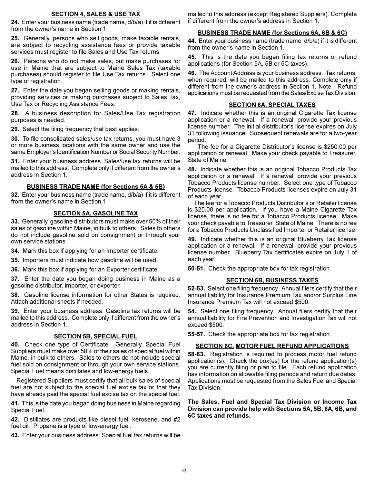#### **SECTION 4, SALES & USE TAX**

24. Enter your business name (trade name, d/b/a) if it is different from the owner's name in Section 1.

25. Generally, persons who sell goods, make taxable rentals, are subject to recycling assistance fees or provide taxable services must register to file Sales and Use Tax returns.

26. Persons who do not make sales, but make purchases for use in Maine that are subject to Maine Sales Tax (taxable purchases) should register to file Use Tax returns. Select one type of registration.

27. Enter the date you began selling goods or making rentals, providing services or making purchases subject to Sales Tax, Use Tax or Recycling Assistance Fees.

28. A business description for Sales/Use Tax registration purposes is needed.

29. Select the filing frequency that best applies.

30. To file consolidated sales/use tax returns, you must have 3 or more business locations with the same owner and use the same Employer's Identification Number or Social Security Number.

31. Enter your business address. Sales/use tax returns will be mailed to this address. Complete only if different from the owner's address in Section 1.

#### **BUSINESS TRADE NAME (for Sections 5A & 5B)**

32. Enter your business name (trade name, d/b/a) if it is different from the owner's name in Section 1.

#### **SECTION 5A, GASOLINE TAX**

33. Generally, gasoline distributors must make over 50% of their sales of gasoline within Maine, in bulk to others. Sales to others do not include gasoline sold on consignment or through your own service stations.

34. Mark this box if applying for an Importer certificate.

35. Importers must indicate how gasoline will be used.

36. Mark this box if applying for an Exporter certificate.

37. Enter the date you began doing business in Maine as a gasoline distributor, importer, or exporter.

38. Gasoline license information for other States is required. Attach additional sheets if needed.

39. Enter your business address. Gasoline tax returns will be mailed to this address. Complete only if different from the owner's address in Section 1.

#### **SECTION 5B, SPECIAL FUEL**

40. Check one type of Certificate. Generally, Special Fuel Suppliers must make over 50% of their sales of special fuel within Maine, in bulk to others. Sales to others do not include special fuel sold on consignment or through your own service stations. Special Fuel means distillates and low-energy fuels.

Registered Suppliers must certify that all bulk sales of special fuel are not subject to the special fuel excise tax or that they have already paid the special fuel excise tax on the special fuel.

41. This is the date you began doing business in Maine regarding Special Fuel.

42. Distillates are products like diesel fuel, kerosene, and #2 fuel oil. Propane is a type of low-energy fuel.

43. Enter your business address. Special fuel tax returns will be

mailed to this address (except Registered Suppliers). Complete if different from the owner's address in Section 1.

#### **BUSINESS TRADE NAME (for Sections 6A, 6B & 6C)**

44. Enter your business name (trade name, d/b/a) if it is different from the owner's name in Section 1.

45. This is the date you began filing tax returns or refund applications (for Section 5A, 5B or 5C taxes).

46. The Account Address is your business address. Tax returns, when required, will be mailed to this address. Complete only if different from the owner's address in Section 1. Note - Refund applications must be requested from the Sales/Excise Tax Division.

#### **SECTION 6A, SPECIAL TAXES**

47. Indicate whether this is an original Cigarette Tax license application or a renewal. If a renewal, provide your previous license number. The initial distributor's license expires on July 31 following issuance. Subsequent renewals are for a two-year period.

The fee for a Cigarette Distributor's license is \$250.00 per application or renewal. Make your check payable to Treasurer, State of Maine.

48. Indicate whether this is an original Tobacco Products Tax application or a renewal. If a renewal, provide your previous Tobacco Products license number. Select one type of Tobacco Products license. Tobacco Products licenses expire on July 31 of each vear.

The fee for a Tobacco Products Distributor's or Retailer license is \$25.00 per application. If you have a Maine Cigarette Tax license, there is no fee for a Tobacco Products license. Make your check payable to Treasurer, State of Maine. There is no fee for a Tobacco Products Unclassified Importer or Retailer license.

49. Indicate whether this is an original Blueberry Tax license application or a renewal. If a renewal, provide your previous license number. Blueberry Tax certificates expire on July 1 of each year.

50-51. Check the appropriate box for tax registration.

#### **SECTION 6B, BUSINESS TAXES**

52-53. Select one filing frequency. Annual filers certify that their annual liability for Insurance Premium Tax and/or Surplus Line Insurance Premium Tax will not exceed \$500.

54. Select one filing frequency. Annual filers certify that their annual liability for Fire Prevention and Investigation Tax will not exceed \$500.

55-57. Check the appropriate box for tax registration.

#### **SECTION 6C, MOTOR FUEL REFUND APPLICATIONS**

**58-63.** Registration is required to process motor fuel refund  $application(s)$ . Check the box(es) for the refund application(s) you are currently filing or plan to file. Each refund application has information on allowable filing periods and return due dates. Applications must be requested from the Sales Fuel and Special Tax Division.

The Sales, Fuel and Special Tax Division or Income Tax Division can provide help with Sections 5A, 5B, 6A, 6B, and 6C taxes and refunds.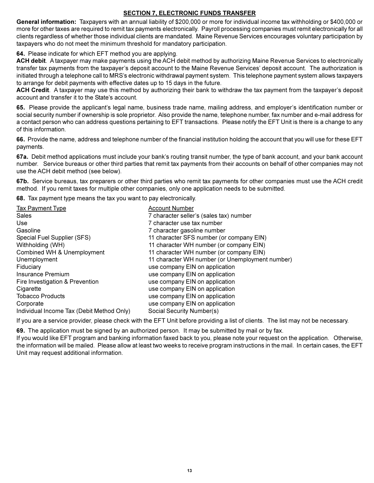# **SECTION 7, ELECTRONIC FUNDS TRANSFER**

General information: Taxpayers with an annual liability of \$200,000 or more for individual income tax withholding or \$400,000 or more for other taxes are required to remit tax payments electronically. Payroll processing companies must remit electronically for all clients regardless of whether those individual clients are mandated. Maine Revenue Services encourages voluntary participation by taxpayers who do not meet the minimum threshold for mandatory participation.

64. Please indicate for which EFT method you are applying.

ACH debit. A taxpayer may make payments using the ACH debit method by authorizing Maine Revenue Services to electronically transfer tax payments from the taxpayer's deposit account to the Maine Revenue Services' deposit account. The authorization is initiated through a telephone call to MRS's electronic withdrawal payment system. This telephone payment system allows taxpayers to arrange for debit payments with effective dates up to 15 days in the future.

ACH Credit. A taxpayer may use this method by authorizing their bank to withdraw the tax payment from the taxpayer's deposit account and transfer it to the State's account.

65. Please provide the applicant's legal name, business trade name, mailing address, and employer's identification number or social security number if ownership is sole proprietor. Also provide the name, telephone number, fax number and e-mail address for a contact person who can address questions pertaining to EFT transactions. Please notify the EFT Unit is there is a change to any of this information.

66. Provide the name, address and telephone number of the financial institution holding the account that you will use for these EFT payments.

67a. Debit method applications must include your bank's routing transit number, the type of bank account, and your bank account number. Service bureaus or other third parties that remit tax payments from their accounts on behalf of other companies may not use the ACH debit method (see below).

67b. Service bureaus, tax preparers or other third parties who remit tax payments for other companies must use the ACH credit method. If you remit taxes for multiple other companies, only one application needs to be submitted.

68. Tax payment type means the tax you want to pay electronically.

| <b>Tax Payment Type</b><br><b>Sales</b>   | <b>Account Number</b><br>7 character seller's (sales tax) number |
|-------------------------------------------|------------------------------------------------------------------|
| <b>Use</b>                                | 7 character use tax number                                       |
| Gasoline                                  | 7 character gasoline number                                      |
| Special Fuel Supplier (SFS)               | 11 character SFS number (or company EIN)                         |
| Withholding (WH)                          | 11 character WH number (or company EIN)                          |
| Combined WH & Unemployment                | 11 character WH number (or company EIN)                          |
| Unemployment                              | 11 character WH number (or Unemployment number)                  |
| Fiduciary                                 | use company EIN on application                                   |
| Insurance Premium                         | use company EIN on application                                   |
| Fire Investigation & Prevention           | use company EIN on application                                   |
| Cigarette                                 | use company EIN on application                                   |
| <b>Tobacco Products</b>                   | use company EIN on application                                   |
| Corporate                                 | use company EIN on application                                   |
| Individual Income Tax (Debit Method Only) | Social Security Number(s)                                        |

If you are a service provider, please check with the EFT Unit before providing a list of clients. The list may not be necessary.

69. The application must be signed by an authorized person. It may be submitted by mail or by fax.

If you would like EFT program and banking information faxed back to you, please note your request on the application. Otherwise, the information will be mailed. Please allow at least two weeks to receive program instructions in the mail. In certain cases, the EFT Unit may request additional information.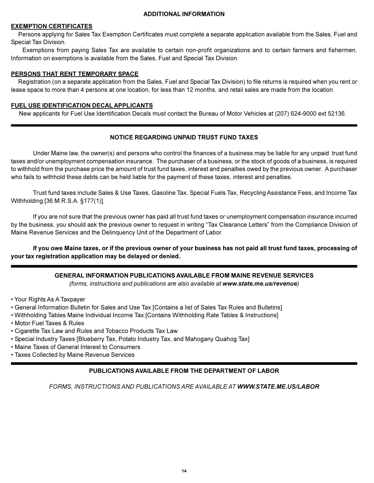#### **ADDITIONAL INFORMATION**

#### **EXEMPTION CERTIFICATES**

Persons applying for Sales Tax Exemption Certificates must complete a separate application available from the Sales, Fuel and Special Tax Division.

Exemptions from paying Sales Tax are available to certain non-profit organizations and to certain farmers and fishermen. Information on exemptions is available from the Sales, Fuel and Special Tax Division.

#### PERSONS THAT RENT TEMPORARY SPACE

Registration (on a separate application from the Sales, Fuel and Special Tax Division) to file returns is required when you rent or lease space to more than 4 persons at one location, for less than 12 months, and retail sales are made from the location.

#### FUEL USE IDENTIFICATION DECAL APPLICANTS

New applicants for Fuel Use Identification Decals must contact the Bureau of Motor Vehicles at (207) 624-9000 ext 52136.

## NOTICE REGARDING UNPAID TRUST FUND TAXES

Under Maine law, the owner(s) and persons who control the finances of a business may be liable for any unpaid trust fund taxes and/or unemployment compensation insurance. The purchaser of a business, or the stock of goods of a business, is required to withhold from the purchase price the amount of trust fund taxes, interest and penalties owed by the previous owner. A purchaser who fails to withhold these debts can be held liable for the payment of these taxes, interest and penalties.

Trust fund taxes include Sales & Use Taxes, Gasoline Tax, Special Fuels Tax, Recycling Assistance Fees, and Income Tax Withholding [36 M.R.S.A. §177(1)].

If you are not sure that the previous owner has paid all trust fund taxes or unemployment compensation insurance incurred by the business, you should ask the previous owner to request in writing "Tax Clearance Letters" from the Compliance Division of Maine Revenue Services and the Delinguency Unit of the Department of Labor.

If you owe Maine taxes, or if the previous owner of your business has not paid all trust fund taxes, processing of your tax registration application may be delayed or denied.

#### **GENERAL INFORMATION PUBLICATIONS AVAILABLE FROM MAINE REVENUE SERVICES**

(forms, instructions and publications are also available at www.state.me.us/revenue)

- Your Rights As A Taxpayer
- General Information Bulletin for Sales and Use Tax [Contains a list of Sales Tax Rules and Bulletins]
- . Withholding Tables Maine Individual Income Tax [Contains Withholding Rate Tables & Instructions]
- . Motor Fuel Taxes & Rules
- Cigarette Tax Law and Rules and Tobacco Products Tax Law
- · Special Industry Taxes [Blueberry Tax, Potato Industry Tax, and Mahogany Quahog Tax]
- Maine Taxes of General Interest to Consumers
- Taxes Collected by Maine Revenue Services

#### PUBLICATIONS AVAILABLE FROM THE DEPARTMENT OF LABOR

FORMS. INSTRUCTIONS AND PUBLICATIONS ARE AVAILABLE AT WWW.STATE.ME.US/LABOR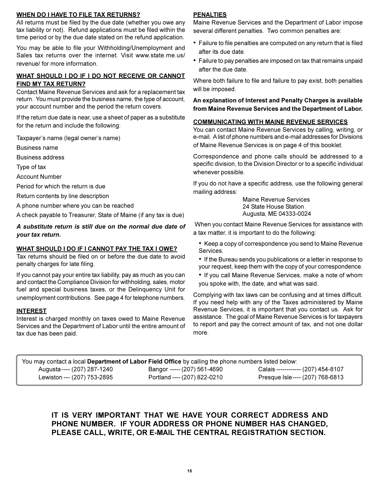#### **WHEN DO I HAVE TO FILE TAX RETURNS?**

All returns must be filed by the due date (whether you owe any tax liability or not). Refund applications must be filed within the time period or by the due date stated on the refund application.

You may be able to file your Withholding/Unemployment and Sales tax returns over the internet. Visit www.state.me.us/ revenue/ for more information.

# WHAT SHOULD I DO IF I DO NOT RECEIVE OR CANNOT FIND MY TAX RETURN?

Contact Maine Revenue Services and ask for a replacement tax return. You must provide the business name, the type of account, your account number and the period the return covers.

If the return due date is near, use a sheet of paper as a substitute for the return and include the following:

Taxpayer's name (legal owner's name)

**Business name** 

**Business address** 

Type of tax

**Account Number** 

Period for which the return is due

Return contents by line description

A phone number where you can be reached

A check payable to Treasurer, State of Maine (if any tax is due)

# A substitute return is still due on the normal due date of your tax return.

# WHAT SHOULD I DO IF I CANNOT PAY THE TAX I OWE?

Tax returns should be filed on or before the due date to avoid penalty charges for late filing.

If you cannot pay your entire tax liability, pay as much as you can and contact the Compliance Division for withholding, sales, motor fuel and special business taxes, or the Delinquency Unit for unemployment contributions. See page 4 for telephone numbers.

# **INTEREST**

Interest is charged monthly on taxes owed to Maine Revenue Services and the Department of Labor until the entire amount of tax due has been paid.

### **PENALTIES**

Maine Revenue Services and the Department of Labor impose several different penalties. Two common penalties are:

- Failure to file penalties are computed on any return that is filed after its due date.
- Failure to pay penalties are imposed on tax that remains unpaid after the due date.

Where both failure to file and failure to pay exist, both penalties will be imposed.

An explanation of Interest and Penalty Charges is available from Maine Revenue Services and the Department of Labor.

#### **COMMUNICATING WITH MAINE REVENUE SERVICES**

You can contact Maine Revenue Services by calling, writing, or e-mail. A list of phone numbers and e-mail addresses for Divisions of Maine Revenue Services is on page 4 of this booklet.

Correspondence and phone calls should be addressed to a specific division, to the Division Director or to a specific individual whenever possible.

If you do not have a specific address, use the following general mailing address:

> **Maine Revenue Services** 24 State House Station Augusta, ME 04333-0024

When you contact Maine Revenue Services for assistance with a tax matter, it is important to do the following:

• Keep a copy of correspondence you send to Maine Revenue Services.

• If the Bureau sends you publications or a letter in response to your request, keep them with the copy of your correspondence.

• If you call Maine Revenue Services, make a note of whom you spoke with, the date, and what was said.

Complying with tax laws can be confusing and at times difficult. If you need help with any of the Taxes administered by Maine Revenue Services, it is important that you contact us. Ask for assistance. The goal of Maine Revenue Services is for taxpayers to report and pay the correct amount of tax, and not one dollar more.

| You may contact a local Department of Labor Field Office by calling the phone numbers listed below: |                              |                                    |  |
|-----------------------------------------------------------------------------------------------------|------------------------------|------------------------------------|--|
| Augusta ---- (207) 287-1240                                                                         | Bangor ----- (207) 561-4690  | Calais ------------ (207) 454-8107 |  |
| Lewiston --- (207) 753-2895                                                                         | Portland ---- (207) 822-0210 | Presque Isle ---- (207) 768-6813   |  |

# IT IS VERY IMPORTANT THAT WE HAVE YOUR CORRECT ADDRESS AND PHONE NUMBER. IF YOUR ADDRESS OR PHONE NUMBER HAS CHANGED. PLEASE CALL, WRITE, OR E-MAIL THE CENTRAL REGISTRATION SECTION.